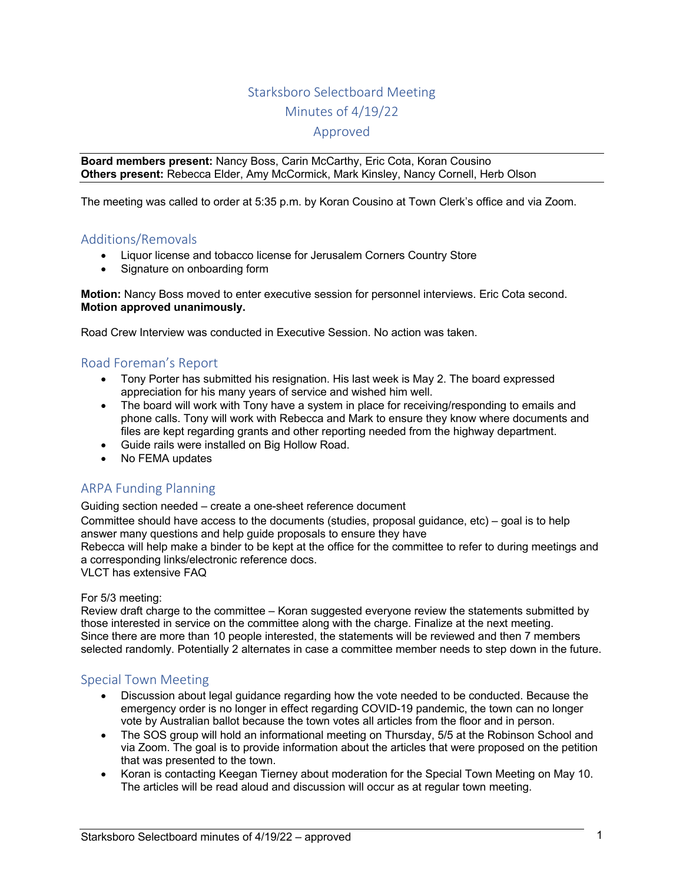# Starksboro Selectboard Meeting Minutes of 4/19/22

### Approved

**Board members present:** Nancy Boss, Carin McCarthy, Eric Cota, Koran Cousino **Others present:** Rebecca Elder, Amy McCormick, Mark Kinsley, Nancy Cornell, Herb Olson

The meeting was called to order at 5:35 p.m. by Koran Cousino at Town Clerk's office and via Zoom.

## Additions/Removals

- Liquor license and tobacco license for Jerusalem Corners Country Store
- Signature on onboarding form

**Motion:** Nancy Boss moved to enter executive session for personnel interviews. Eric Cota second. **Motion approved unanimously.**

Road Crew Interview was conducted in Executive Session. No action was taken.

## Road Foreman's Report

- Tony Porter has submitted his resignation. His last week is May 2. The board expressed appreciation for his many years of service and wished him well.
- The board will work with Tony have a system in place for receiving/responding to emails and phone calls. Tony will work with Rebecca and Mark to ensure they know where documents and files are kept regarding grants and other reporting needed from the highway department.
- Guide rails were installed on Big Hollow Road.
- No FEMA updates

# ARPA Funding Planning

Guiding section needed – create a one-sheet reference document

Committee should have access to the documents (studies, proposal guidance, etc) – goal is to help answer many questions and help guide proposals to ensure they have

Rebecca will help make a binder to be kept at the office for the committee to refer to during meetings and a corresponding links/electronic reference docs.

VLCT has extensive FAQ

#### For 5/3 meeting:

Review draft charge to the committee – Koran suggested everyone review the statements submitted by those interested in service on the committee along with the charge. Finalize at the next meeting. Since there are more than 10 people interested, the statements will be reviewed and then 7 members selected randomly. Potentially 2 alternates in case a committee member needs to step down in the future.

## Special Town Meeting

- Discussion about legal guidance regarding how the vote needed to be conducted. Because the emergency order is no longer in effect regarding COVID-19 pandemic, the town can no longer vote by Australian ballot because the town votes all articles from the floor and in person.
- The SOS group will hold an informational meeting on Thursday, 5/5 at the Robinson School and via Zoom. The goal is to provide information about the articles that were proposed on the petition that was presented to the town.
- Koran is contacting Keegan Tierney about moderation for the Special Town Meeting on May 10. The articles will be read aloud and discussion will occur as at regular town meeting.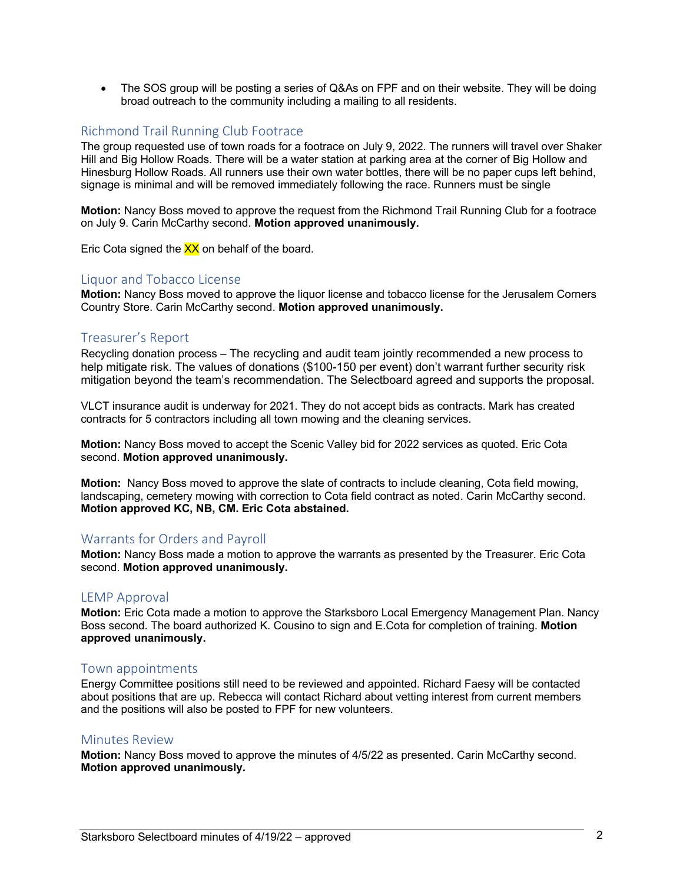• The SOS group will be posting a series of Q&As on FPF and on their website. They will be doing broad outreach to the community including a mailing to all residents.

## Richmond Trail Running Club Footrace

The group requested use of town roads for a footrace on July 9, 2022. The runners will travel over Shaker Hill and Big Hollow Roads. There will be a water station at parking area at the corner of Big Hollow and Hinesburg Hollow Roads. All runners use their own water bottles, there will be no paper cups left behind, signage is minimal and will be removed immediately following the race. Runners must be single

**Motion:** Nancy Boss moved to approve the request from the Richmond Trail Running Club for a footrace on July 9. Carin McCarthy second. **Motion approved unanimously.** 

Eric Cota signed the  $XX$  on behalf of the board.

#### Liquor and Tobacco License

**Motion:** Nancy Boss moved to approve the liquor license and tobacco license for the Jerusalem Corners Country Store. Carin McCarthy second. **Motion approved unanimously.** 

### Treasurer's Report

Recycling donation process – The recycling and audit team jointly recommended a new process to help mitigate risk. The values of donations (\$100-150 per event) don't warrant further security risk mitigation beyond the team's recommendation. The Selectboard agreed and supports the proposal.

VLCT insurance audit is underway for 2021. They do not accept bids as contracts. Mark has created contracts for 5 contractors including all town mowing and the cleaning services.

**Motion:** Nancy Boss moved to accept the Scenic Valley bid for 2022 services as quoted. Eric Cota second. **Motion approved unanimously.**

**Motion:** Nancy Boss moved to approve the slate of contracts to include cleaning, Cota field mowing, landscaping, cemetery mowing with correction to Cota field contract as noted. Carin McCarthy second. **Motion approved KC, NB, CM. Eric Cota abstained.** 

### Warrants for Orders and Payroll

**Motion:** Nancy Boss made a motion to approve the warrants as presented by the Treasurer. Eric Cota second. **Motion approved unanimously.**

#### LEMP Approval

**Motion:** Eric Cota made a motion to approve the Starksboro Local Emergency Management Plan. Nancy Boss second. The board authorized K. Cousino to sign and E.Cota for completion of training. **Motion approved unanimously.**

#### Town appointments

Energy Committee positions still need to be reviewed and appointed. Richard Faesy will be contacted about positions that are up. Rebecca will contact Richard about vetting interest from current members and the positions will also be posted to FPF for new volunteers.

#### Minutes Review

**Motion:** Nancy Boss moved to approve the minutes of 4/5/22 as presented. Carin McCarthy second. **Motion approved unanimously.**